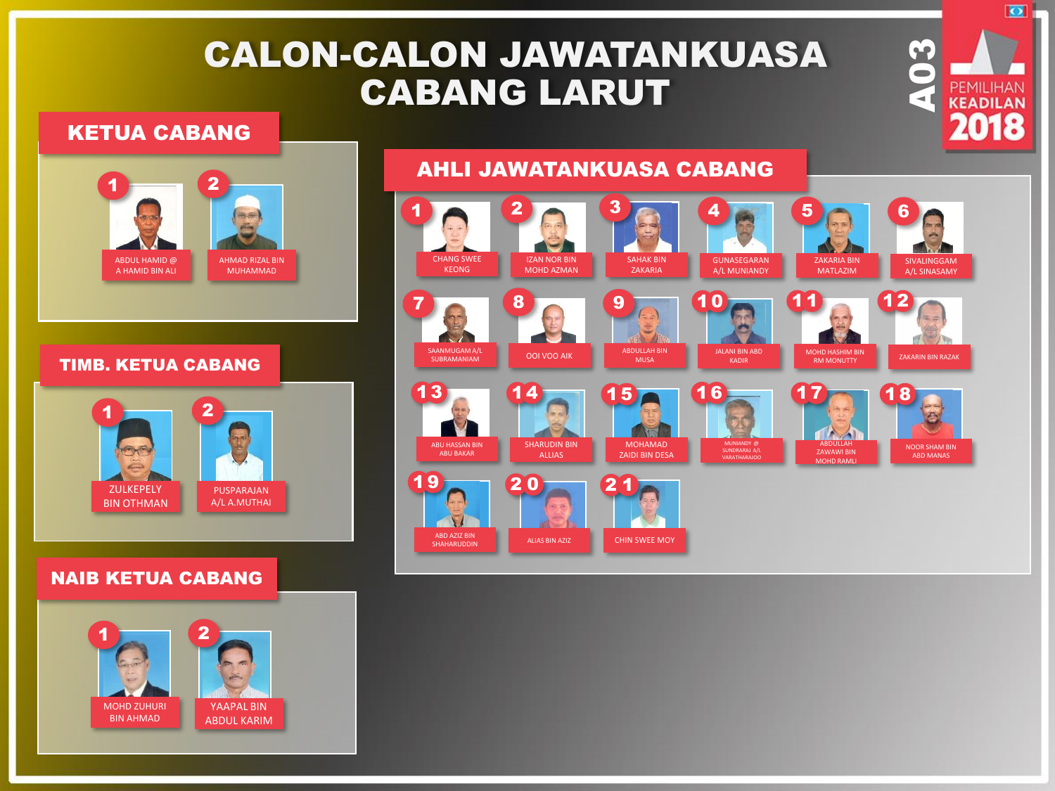## CALON-CALON JAWATANKUASA CABANG LARUT

#### KETUA CABANG



#### TIMB. KETUA CABANG



#### NAIB KETUA CABANG



# AHLI JAWATANKUASA CABANG



**PEMILIHAN** 

 $\overline{\bullet}$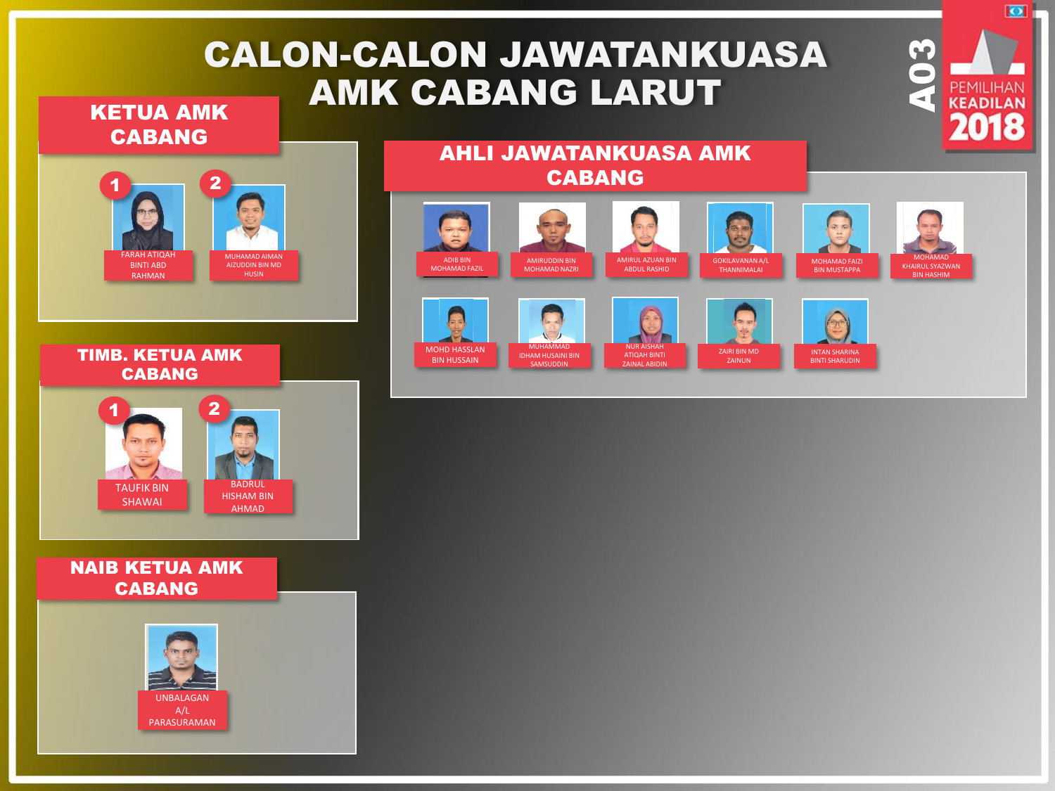# CALON-CALON JAWATANKUASA AMK CABANG LARUT

ADIB BIN MOHAMAD FAZIL

MOHD HASSLAN BIN HUSSAIN

KETUA AMK CABANG



TIMB. KETUA AMK CABANG



#### NAIB KETUA AMK CABANG



AHLI JAWATANKUASA AMK CABANG

> MUHAMMAD IDHAM HUSAINI BIN SAMSI

AMIRUDDIN BIN MOHAMAD NAZRI

AMIRUL AZUAN BIN ABDUL RASHID

> NUR AISHAH ATIQAH BINTI .<br>ZAINAL ABII

GOKILAVANAN A/L THANNIMALAI

ZAIRI BIN MD

MOHAMAD FAIZI

BINTI SHARUDIN

**CONSTRUCTED**<br>**ACCEPTED AND READILIAN** 

 $\overline{\bullet}$ 

MOHAMAD KHAIRUL SYAZWAN